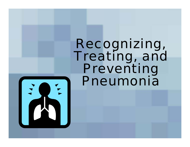# Recognizing, Treating, and Preventing Pneumonia

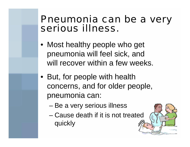## Pneumonia can be a very serious illness.

- Most healthy people who get pneumonia will feel sick, and will recover within a few weeks.
- But, for people with health concerns, and for older people, pneumonia can:
	- –Be a very serious illness
	- Cause death if it is not treated quickly

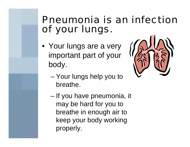# Pneumonia is an infection of your lungs.

• Your lungs are a very important part of your body.



- – Your lungs help you to breathe.
- – If you have pneumonia, it may be hard for you to breathe in enough air to keep your body working properly.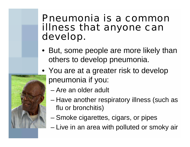#### Pneumonia is a common illness that anyone can develop.

- But, some people are more likely than others to develop pneumonia.
- You are at a greater risk to develop pneumonia if you:
	- Are an older adult
	- – Have another respiratory illness (such as flu or bronchitis)
	- –Smoke cigarettes, cigars, or pipes
	- Live in an area with polluted or smoky air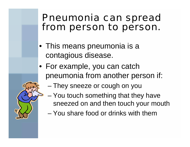## Pneumonia can spread from person to person.

- This means pneumonia is a contagious disease.
- For example, you can catch pneumonia from another person if:
	- –They sneeze or cough on you
	- – You touch something that they have sneezed on and then touch your mouth
	- You share food or drinks with them

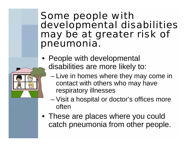#### Some people with developmental disabilities may be at greater risk of pneumonia.

- People with developmental disabilities are more likely to:
	- – Live in homes where they may come in contact with others who may have respiratory illnesses
	- – Visit a hospital or doctor's offices more often
- These are places where you could catch pneumonia from other people.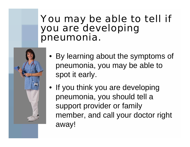# You may be able to tell if you are developing pneumonia.



- By learning about the symptoms of pneumonia, you may be able to spot it early.
- If you think you are developing pneumonia, you should tell a support provider or family member, and call your doctor right away!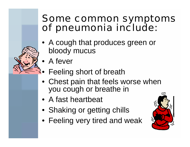## Some common symptoms of pneumonia include:

- A cough that produces green or bloody mucus
- A fever
- •Feeling short of breath
- Chest pain that feels worse when you cough or breathe in
- A fast heartbeat
- Shaking or getting chills
- Feeling very tired and weak

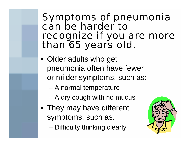#### Symptoms of pneumonia can be harder to recognize if you are more than 65 years old.

- Older adults who get pneumonia often have fewer or milder symptoms, such as:
	- –A normal temperature
	- –A dry cough with no mucus
- They may have different symptoms, such as:
	- –Difficulty thinking clearly

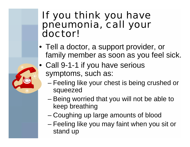# If you think you have pneumonia, call your doctor!

- Tell a doctor, a support provider, or family member as soon as you feel sick.
- Call 9-1-1 if you have serious symptoms, such as:
	- – Feeling like your chest is being crushed or squeezed
	- Being worried that you will not be able to keep breathing
	- –Coughing up large amounts of blood
	- Feeling like you may faint when you sit or stand up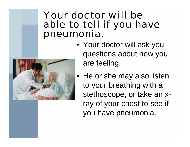## Your doctor will be able to tell if you have pneumonia.



• He or she may also listen to your breathing with a stethoscope, or take an xray of your chest to see if you have pneumonia.

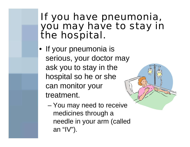## If you have pneumonia, you may have to stay in the hospital.

• If your pneumonia is serious, your doctor may ask you to stay in the hospital so he or she can monitor your treatment.



 You may need to receive medicines through a needle in your arm (called an "IV").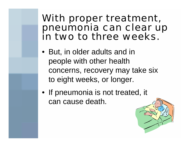#### With proper treatment, pneumonia can clear up in two to three weeks.

- But, in older adults and in people with other health concerns, recovery may take six to eight weeks, or longer.
- If pneumonia is not treated, it can cause death.

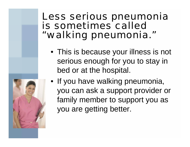## Less serious pneumonia is sometimes called "walking pneumonia."

• This is because your illness is not serious enough for you to stay in bed or at the hospital.



• If you have walking pneumonia, you can ask a support provider or family member to support you as you are getting better.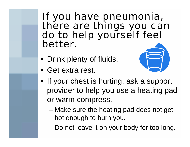#### If you have pneumonia, there are things you can do to help yourself feel better.

- Drink plenty of fluids.
- Get extra rest.



- If your chest is hurting, ask a support provider to help you use a heating pad or warm compress.
	- Make sure the heating pad does not get hot enough to burn you.
	- –Do not leave it on your body for too long.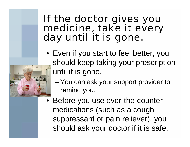## If the doctor gives you medicine, take it every day until it is gone.



- – You can ask your support provider to remind you.
- Before you use over-the-counter medications (such as a cough suppressant or pain reliever), you should ask your doctor if it is safe.

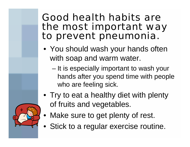## Good health habits are the most important way to prevent pneumonia.

- You should wash your hands often with soap and warm water.
	- – It is especially important to wash your hands after you spend time with people who are feeling sick.
- Try to eat a healthy diet with plenty of fruits and vegetables.
- Make sure to get plenty of rest.
- Stick to a regular exercise routine.

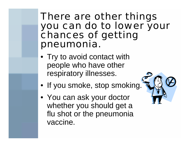#### There are other things you can do to lower your chances of getting pneumonia.

- Try to avoid contact with people who have other respiratory illnesses.
- If you smoke, stop smoking.
- You can ask your doctor whether you should get a flu shot or the pneumonia vaccine.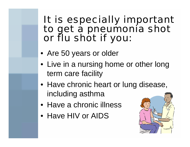## It is especially important to get a pneumonia shot or flu shot if you:

- Are 50 years or older
- Live in a nursing home or other long term care facility
- Have chronic heart or lung disease, including asthma
- Have a chronic illness
- Have HIV or AIDS